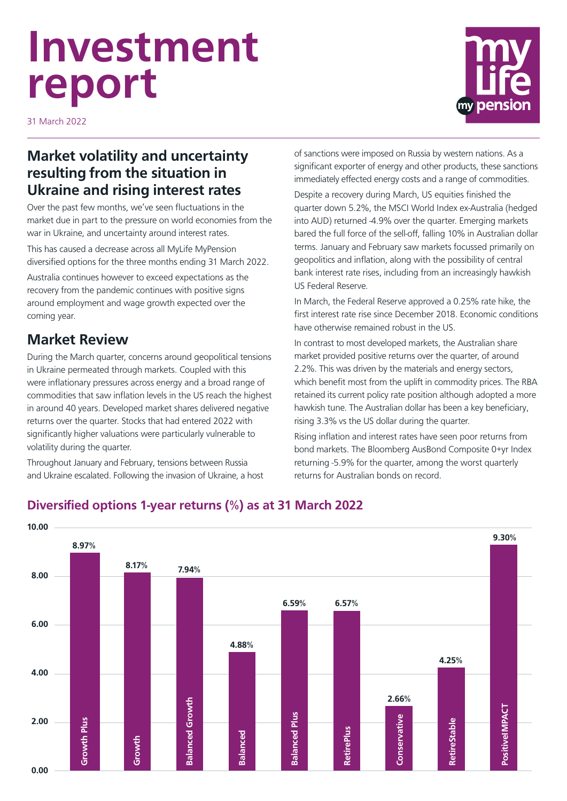# **Investment report**



31 March 2022

### **Market volatility and uncertainty resulting from the situation in Ukraine and rising interest rates**

Over the past few months, we've seen fluctuations in the market due in part to the pressure on world economies from the war in Ukraine, and uncertainty around interest rates.

This has caused a decrease across all MyLife MyPension diversified options for the three months ending 31 March 2022.

Australia continues however to exceed expectations as the recovery from the pandemic continues with positive signs around employment and wage growth expected over the coming year.

## **Market Review**

During the March quarter, concerns around geopolitical tensions in Ukraine permeated through markets. Coupled with this were inflationary pressures across energy and a broad range of commodities that saw inflation levels in the US reach the highest in around 40 years. Developed market shares delivered negative returns over the quarter. Stocks that had entered 2022 with significantly higher valuations were particularly vulnerable to volatility during the quarter.

Throughout January and February, tensions between Russia and Ukraine escalated. Following the invasion of Ukraine, a host of sanctions were imposed on Russia by western nations. As a significant exporter of energy and other products, these sanctions immediately effected energy costs and a range of commodities.

Despite a recovery during March, US equities finished the quarter down 5.2%, the MSCI World Index ex-Australia (hedged into AUD) returned -4.9% over the quarter. Emerging markets bared the full force of the sell-off, falling 10% in Australian dollar terms. January and February saw markets focussed primarily on geopolitics and inflation, along with the possibility of central bank interest rate rises, including from an increasingly hawkish US Federal Reserve.

In March, the Federal Reserve approved a 0.25% rate hike, the first interest rate rise since December 2018. Economic conditions have otherwise remained robust in the US.

In contrast to most developed markets, the Australian share market provided positive returns over the quarter, of around 2.2%. This was driven by the materials and energy sectors, which benefit most from the uplift in commodity prices. The RBA retained its current policy rate position although adopted a more hawkish tune. The Australian dollar has been a key beneficiary, rising 3.3% vs the US dollar during the quarter.

Rising inflation and interest rates have seen poor returns from bond markets. The Bloomberg AusBond Composite 0+yr Index returning -5.9% for the quarter, among the worst quarterly returns for Australian bonds on record.



#### **Diversified options 1-year returns (%) as at 31 March 2022**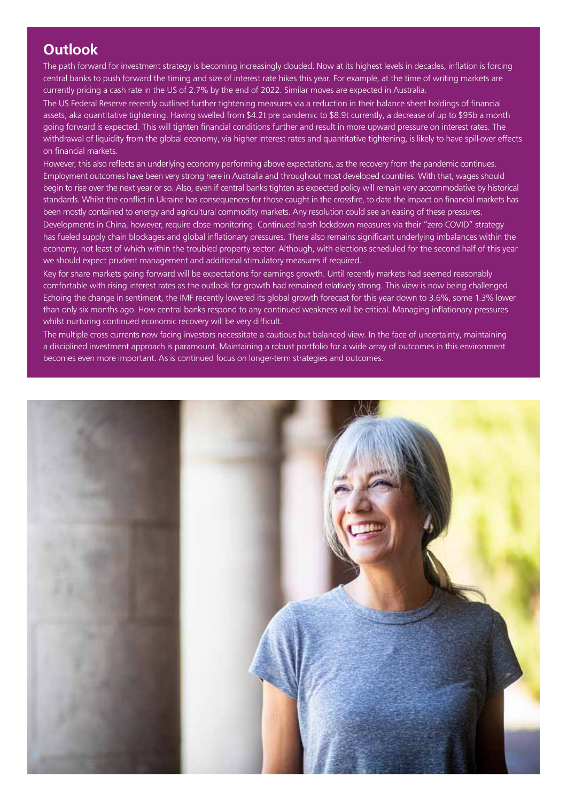#### **Outlook**

The path forward for investment strategy is becoming increasingly clouded. Now at its highest levels in decades, inflation is forcing central banks to push forward the timing and size of interest rate hikes this year. For example, at the time of writing markets are currently pricing a cash rate in the US of 2.7% by the end of 2022. Similar moves are expected in Australia.

The US Federal Reserve recently outlined further tightening measures via a reduction in their balance sheet holdings of financial assets, aka quantitative tightening. Having swelled from \$4.2t pre pandemic to \$8.9t currently, a decrease of up to \$95b a month going forward is expected. This will tighten financial conditions further and result in more upward pressure on interest rates. The withdrawal of liquidity from the global economy, via higher interest rates and quantitative tightening, is likely to have spill-over effects on financial markets.

However, this also reflects an underlying economy performing above expectations, as the recovery from the pandemic continues. Employment outcomes have been very strong here in Australia and throughout most developed countries. With that, wages should begin to rise over the next year or so. Also, even if central banks tighten as expected policy will remain very accommodative by historical standards. Whilst the conflict in Ukraine has consequences for those caught in the crossfire, to date the impact on financial markets has been mostly contained to energy and agricultural commodity markets. Any resolution could see an easing of these pressures.

Developments in China, however, require close monitoring. Continued harsh lockdown measures via their "zero COVID" strategy has fueled supply chain blockages and global inflationary pressures. There also remains significant underlying imbalances within the economy, not least of which within the troubled property sector. Although, with elections scheduled for the second half of this year we should expect prudent management and additional stimulatory measures if required.

Key for share markets going forward will be expectations for earnings growth. Until recently markets had seemed reasonably comfortable with rising interest rates as the outlook for growth had remained relatively strong. This view is now being challenged. Echoing the change in sentiment, the IMF recently lowered its global growth forecast for this year down to 3.6%, some 1.3% lower than only six months ago. How central banks respond to any continued weakness will be critical. Managing inflationary pressures whilst nurturing continued economic recovery will be very difficult.

The multiple cross currents now facing investors necessitate a cautious but balanced view. In the face of uncertainty, maintaining a disciplined investment approach is paramount. Maintaining a robust portfolio for a wide array of outcomes in this environment becomes even more important. As is continued focus on longer-term strategies and outcomes.

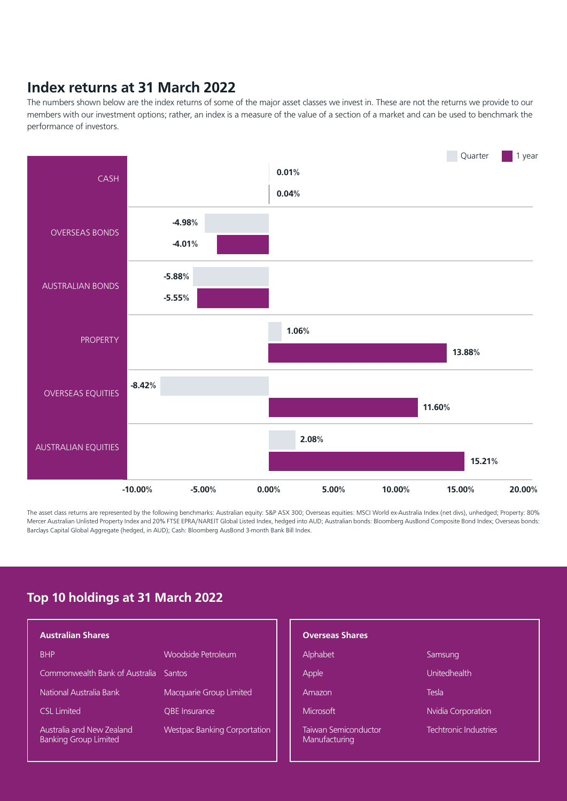#### **Index returns at 31 March 2022**

The numbers shown below are the index returns of some of the major asset classes we invest in. These are not the returns we provide to our members with our investment options; rather, an index is a measure of the value of a section of a market and can be used to benchmark the performance of investors.



The asset class returns are represented by the following benchmarks: Australian equity: S&P ASX 300; Overseas equities: MSCI World ex-Australia Index (net divs), unhedged; Property: 80% Mercer Australian Unlisted Property Index and 20% FTSE EPRA/NAREIT Global Listed Index, hedged into AUD; Australian bonds: Bloomberg AusBond Composite Bond Index; Overseas bonds: Barclays Capital Global Aggregate (hedged, in AUD); Cash: Bloomberg AusBond 3-month Bank Bill Index.

#### **Top 10 holdings at 31 March 2022**

|                                     |                                       | <b>Overseas Shares</b>                       |                              |
|-------------------------------------|---------------------------------------|----------------------------------------------|------------------------------|
| Woodside Petroleum                  |                                       | Alphabet                                     | Samsung                      |
|                                     |                                       | Apple                                        | <b>Unitedhealth</b>          |
| Macquarie Group Limited             |                                       | Amazon                                       | Tesla                        |
| <b>OBE</b> Insurance                |                                       | Microsoft                                    | Nvidia Corporation           |
| <b>Westpac Banking Corportation</b> |                                       | <b>Taiwan Semiconductor</b><br>Manufacturing | <b>Techtronic Industries</b> |
|                                     | Commonwealth Bank of Australia Santos |                                              |                              |